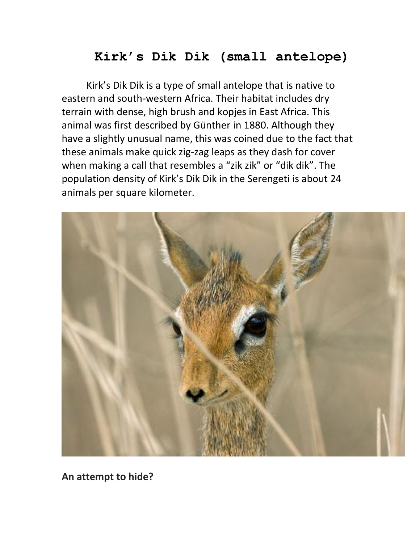## **Kirk's Dik Dik (small antelope)**

Kirk's Dik Dik is a type of small antelope that is native to eastern and south-western Africa. Their habitat includes dry terrain with dense, high brush and kopjes in East Africa. This animal was first described by Günther in 1880. Although they have a slightly unusual name, this was coined due to the fact that these animals make quick zig-zag leaps as they dash for cover when making a call that resembles a "zik zik" or "dik dik". The population density of Kirk's Dik Dik in the Serengeti is about 24 animals per square kilometer.



**An attempt to hide?**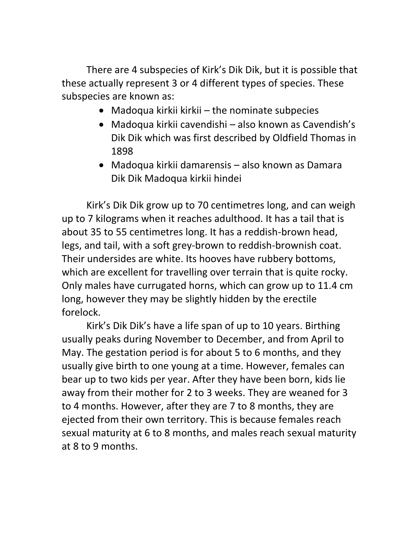There are 4 subspecies of Kirk's Dik Dik, but it is possible that these actually represent 3 or 4 different types of species. These subspecies are known as:

- Madoqua kirkii kirkii the nominate subpecies
- Madoqua kirkii cavendishi also known as Cavendish's Dik Dik which was first described by Oldfield Thomas in 1898
- Madoqua kirkii damarensis also known as Damara Dik Dik Madoqua kirkii hindei

Kirk's Dik Dik grow up to 70 centimetres long, and can weigh up to 7 kilograms when it reaches adulthood. It has a tail that is about 35 to 55 centimetres long. It has a reddish-brown head, legs, and tail, with a soft grey-brown to reddish-brownish coat. Their undersides are white. Its hooves have rubbery bottoms, which are excellent for travelling over terrain that is quite rocky. Only males have currugated horns, which can grow up to 11.4 cm long, however they may be slightly hidden by the erectile forelock.

Kirk's Dik Dik's have a life span of up to 10 years. Birthing usually peaks during November to December, and from April to May. The gestation period is for about 5 to 6 months, and they usually give birth to one young at a time. However, females can bear up to two kids per year. After they have been born, kids lie away from their mother for 2 to 3 weeks. They are weaned for 3 to 4 months. However, after they are 7 to 8 months, they are ejected from their own territory. This is because females reach sexual maturity at 6 to 8 months, and males reach sexual maturity at 8 to 9 months.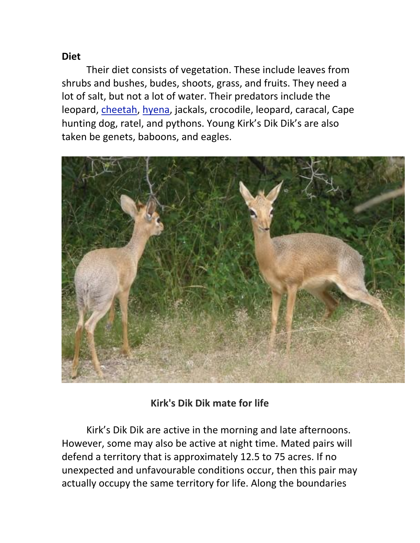## **Diet**

Their diet consists of vegetation. These include leaves from shrubs and bushes, budes, shoots, grass, and fruits. They need a lot of salt, but not a lot of water. Their predators include the leopard, [cheetah,](http://www.itsnature.org/ground/mammals-land/cheetah/) [hyena,](http://www.itsnature.org/ground/mammals-land/hyena/) jackals, crocodile, leopard, caracal, Cape hunting dog, ratel, and pythons. Young Kirk's Dik Dik's are also taken be genets, baboons, and eagles.



## **Kirk's Dik Dik mate for life**

Kirk's Dik Dik are active in the morning and late afternoons. However, some may also be active at night time. Mated pairs will defend a territory that is approximately 12.5 to 75 acres. If no unexpected and unfavourable conditions occur, then this pair may actually occupy the same territory for life. Along the boundaries